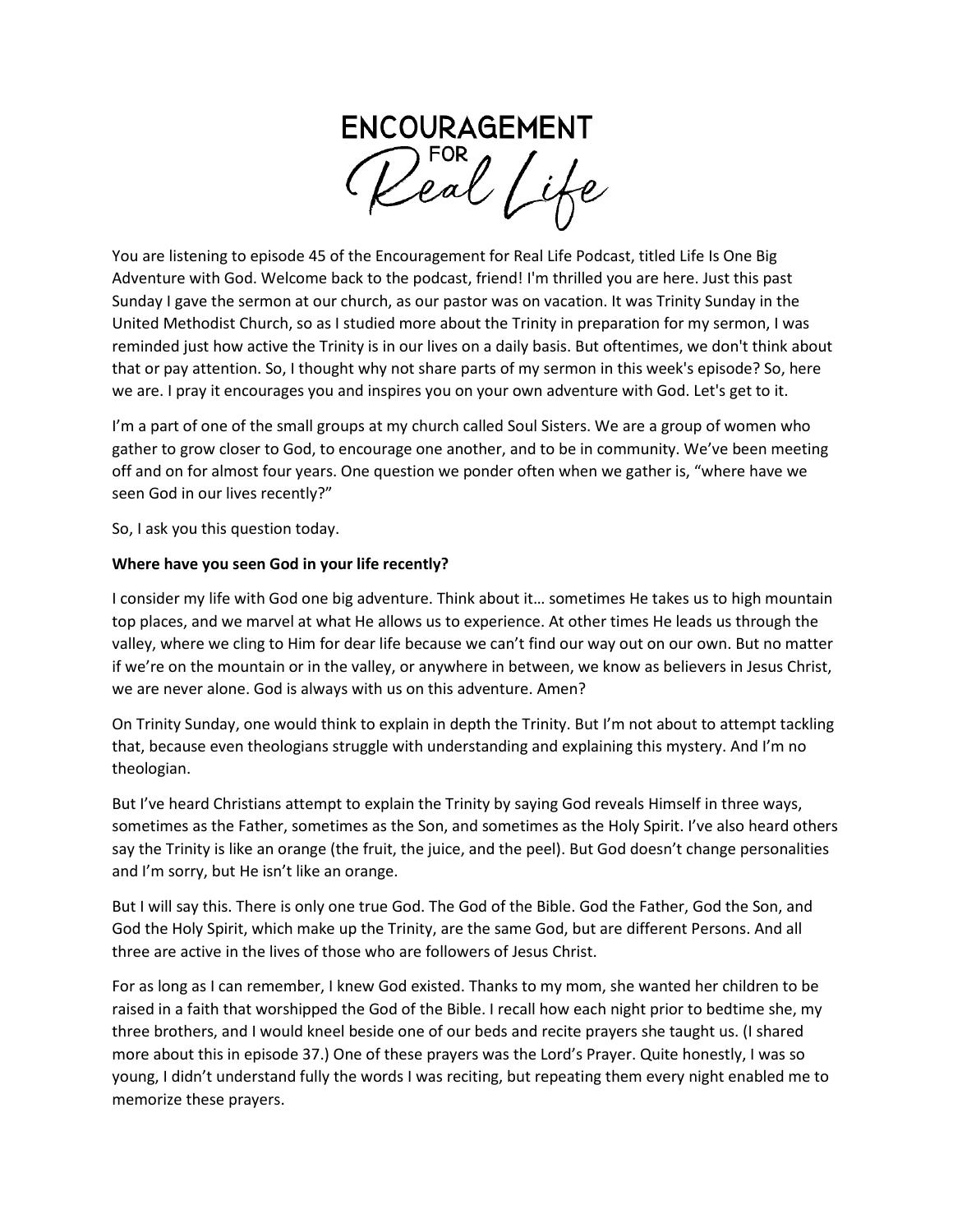

You are listening to episode 45 of the Encouragement for Real Life Podcast, titled Life Is One Big Adventure with God. Welcome back to the podcast, friend! I'm thrilled you are here. Just this past Sunday I gave the sermon at our church, as our pastor was on vacation. It was Trinity Sunday in the United Methodist Church, so as I studied more about the Trinity in preparation for my sermon, I was reminded just how active the Trinity is in our lives on a daily basis. But oftentimes, we don't think about that or pay attention. So, I thought why not share parts of my sermon in this week's episode? So, here we are. I pray it encourages you and inspires you on your own adventure with God. Let's get to it.

I'm a part of one of the small groups at my church called Soul Sisters. We are a group of women who gather to grow closer to God, to encourage one another, and to be in community. We've been meeting off and on for almost four years. One question we ponder often when we gather is, "where have we seen God in our lives recently?"

So, I ask you this question today.

### **Where have you seen God in your life recently?**

I consider my life with God one big adventure. Think about it… sometimes He takes us to high mountain top places, and we marvel at what He allows us to experience. At other times He leads us through the valley, where we cling to Him for dear life because we can't find our way out on our own. But no matter if we're on the mountain or in the valley, or anywhere in between, we know as believers in Jesus Christ, we are never alone. God is always with us on this adventure. Amen?

On Trinity Sunday, one would think to explain in depth the Trinity. But I'm not about to attempt tackling that, because even theologians struggle with understanding and explaining this mystery. And I'm no theologian.

But I've heard Christians attempt to explain the Trinity by saying God reveals Himself in three ways, sometimes as the Father, sometimes as the Son, and sometimes as the Holy Spirit. I've also heard others say the Trinity is like an orange (the fruit, the juice, and the peel). But God doesn't change personalities and I'm sorry, but He isn't like an orange.

But I will say this. There is only one true God. The God of the Bible. God the Father, God the Son, and God the Holy Spirit, which make up the Trinity, are the same God, but are different Persons. And all three are active in the lives of those who are followers of Jesus Christ.

For as long as I can remember, I knew God existed. Thanks to my mom, she wanted her children to be raised in a faith that worshipped the God of the Bible. I recall how each night prior to bedtime she, my three brothers, and I would kneel beside one of our beds and recite prayers she taught us. (I shared more about this in episode 37.) One of these prayers was the Lord's Prayer. Quite honestly, I was so young, I didn't understand fully the words I was reciting, but repeating them every night enabled me to memorize these prayers.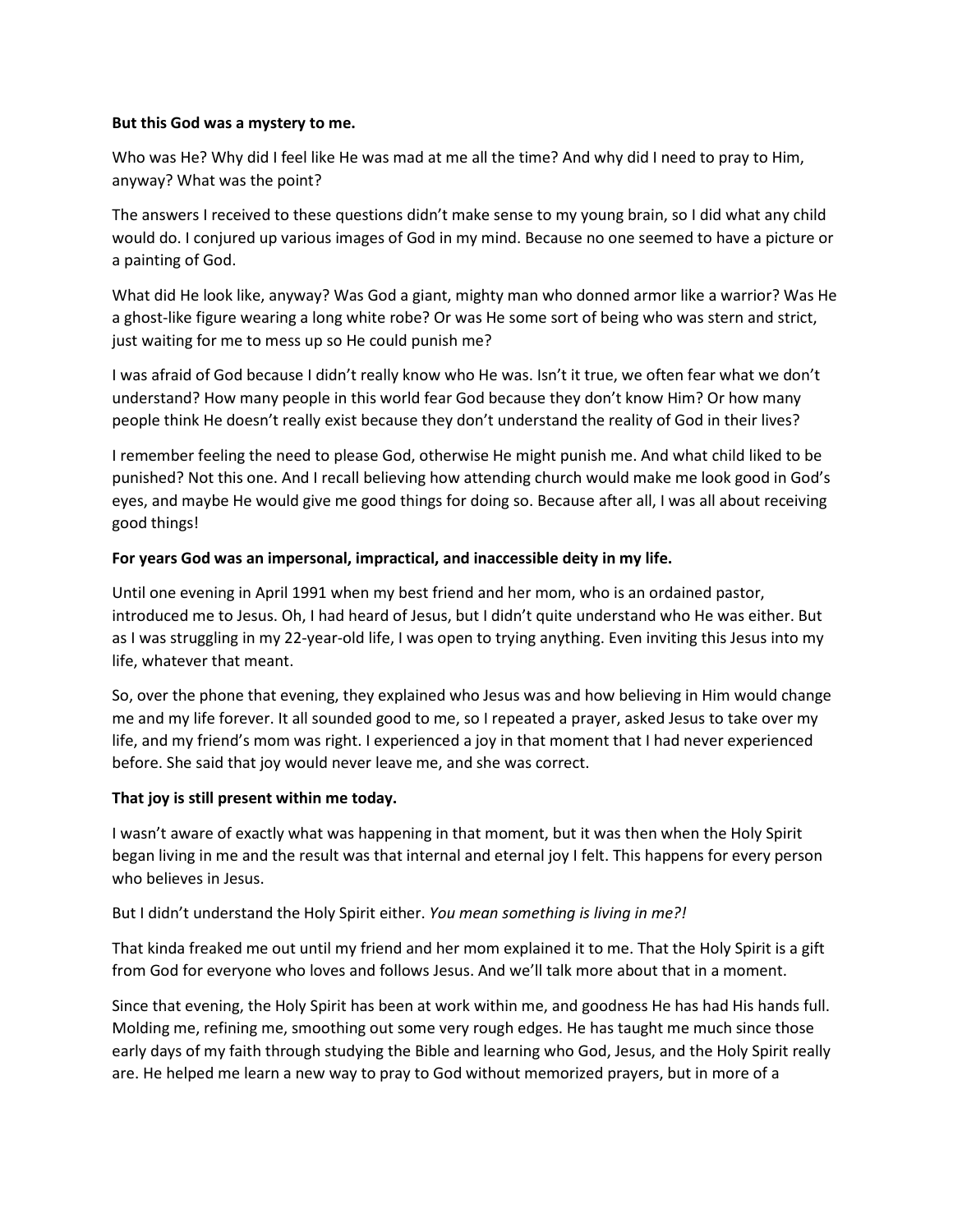#### **But this God was a mystery to me.**

Who was He? Why did I feel like He was mad at me all the time? And why did I need to pray to Him, anyway? What was the point?

The answers I received to these questions didn't make sense to my young brain, so I did what any child would do. I conjured up various images of God in my mind. Because no one seemed to have a picture or a painting of God.

What did He look like, anyway? Was God a giant, mighty man who donned armor like a warrior? Was He a ghost-like figure wearing a long white robe? Or was He some sort of being who was stern and strict, just waiting for me to mess up so He could punish me?

I was afraid of God because I didn't really know who He was. Isn't it true, we often fear what we don't understand? How many people in this world fear God because they don't know Him? Or how many people think He doesn't really exist because they don't understand the reality of God in their lives?

I remember feeling the need to please God, otherwise He might punish me. And what child liked to be punished? Not this one. And I recall believing how attending church would make me look good in God's eyes, and maybe He would give me good things for doing so. Because after all, I was all about receiving good things!

### **For years God was an impersonal, impractical, and inaccessible deity in my life.**

Until one evening in April 1991 when my best friend and her mom, who is an ordained pastor, introduced me to Jesus. Oh, I had heard of Jesus, but I didn't quite understand who He was either. But as I was struggling in my 22-year-old life, I was open to trying anything. Even inviting this Jesus into my life, whatever that meant.

So, over the phone that evening, they explained who Jesus was and how believing in Him would change me and my life forever. It all sounded good to me, so I repeated a prayer, asked Jesus to take over my life, and my friend's mom was right. I experienced a joy in that moment that I had never experienced before. She said that joy would never leave me, and she was correct.

### **That joy is still present within me today.**

I wasn't aware of exactly what was happening in that moment, but it was then when the Holy Spirit began living in me and the result was that internal and eternal joy I felt. This happens for every person who believes in Jesus.

### But I didn't understand the Holy Spirit either. *You mean something is living in me?!*

That kinda freaked me out until my friend and her mom explained it to me. That the Holy Spirit is a gift from God for everyone who loves and follows Jesus. And we'll talk more about that in a moment.

Since that evening, the Holy Spirit has been at work within me, and goodness He has had His hands full. Molding me, refining me, smoothing out some very rough edges. He has taught me much since those early days of my faith through studying the Bible and learning who God, Jesus, and the Holy Spirit really are. He helped me learn a new way to pray to God without memorized prayers, but in more of a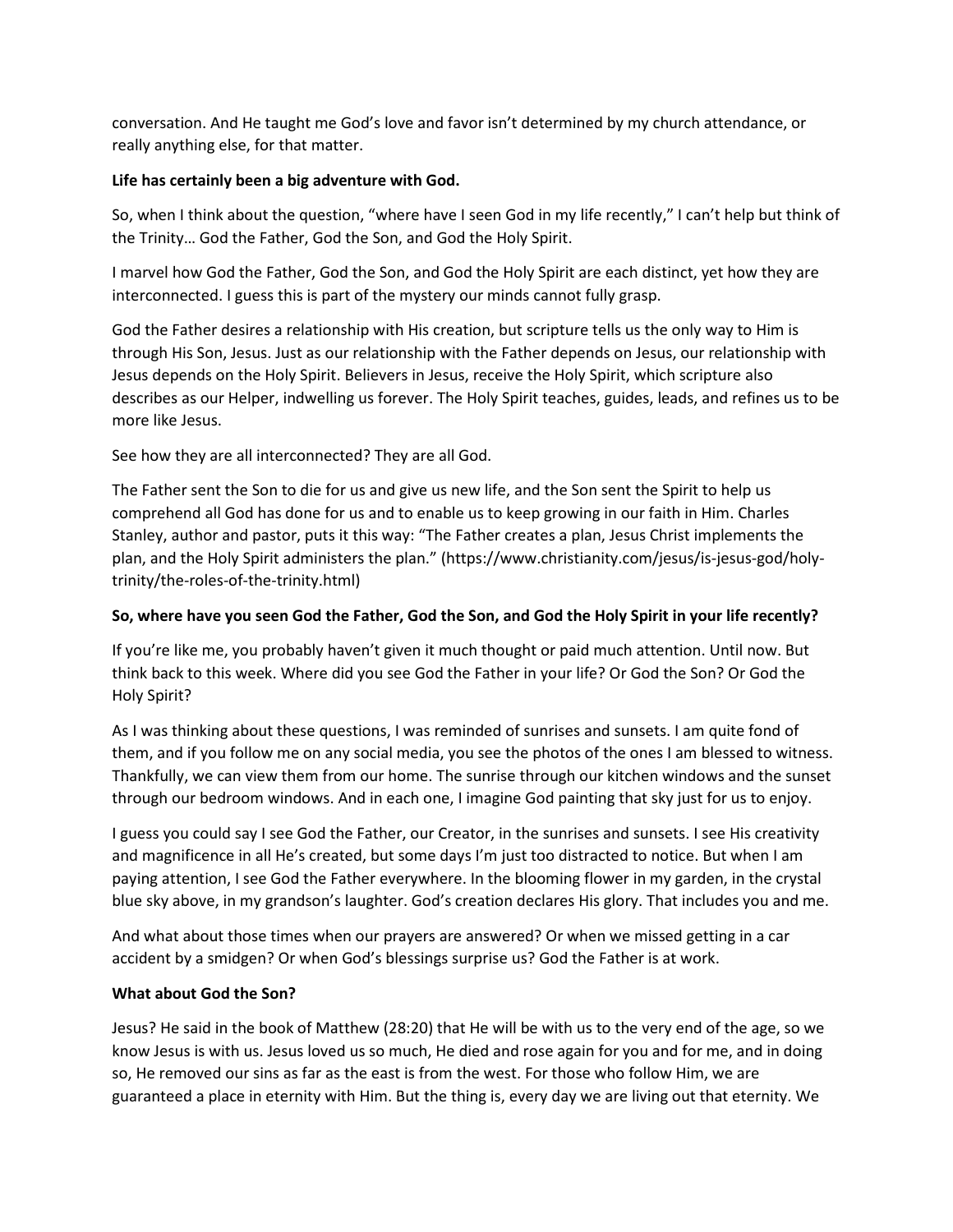conversation. And He taught me God's love and favor isn't determined by my church attendance, or really anything else, for that matter.

## **Life has certainly been a big adventure with God.**

So, when I think about the question, "where have I seen God in my life recently," I can't help but think of the Trinity… God the Father, God the Son, and God the Holy Spirit.

I marvel how God the Father, God the Son, and God the Holy Spirit are each distinct, yet how they are interconnected. I guess this is part of the mystery our minds cannot fully grasp.

God the Father desires a relationship with His creation, but scripture tells us the only way to Him is through His Son, Jesus. Just as our relationship with the Father depends on Jesus, our relationship with Jesus depends on the Holy Spirit. Believers in Jesus, receive the Holy Spirit, which scripture also describes as our Helper, indwelling us forever. The Holy Spirit teaches, guides, leads, and refines us to be more like Jesus.

See how they are all interconnected? They are all God.

The Father sent the Son to die for us and give us new life, and the Son sent the Spirit to help us comprehend all God has done for us and to enable us to keep growing in our faith in Him. Charles Stanley, author and pastor, puts it this way: "The Father creates a plan, Jesus Christ implements the plan, and the Holy Spirit administers the plan." (https://www.christianity.com/jesus/is-jesus-god/holytrinity/the-roles-of-the-trinity.html)

# **So, where have you seen God the Father, God the Son, and God the Holy Spirit in your life recently?**

If you're like me, you probably haven't given it much thought or paid much attention. Until now. But think back to this week. Where did you see God the Father in your life? Or God the Son? Or God the Holy Spirit?

As I was thinking about these questions, I was reminded of sunrises and sunsets. I am quite fond of them, and if you follow me on any social media, you see the photos of the ones I am blessed to witness. Thankfully, we can view them from our home. The sunrise through our kitchen windows and the sunset through our bedroom windows. And in each one, I imagine God painting that sky just for us to enjoy.

I guess you could say I see God the Father, our Creator, in the sunrises and sunsets. I see His creativity and magnificence in all He's created, but some days I'm just too distracted to notice. But when I am paying attention, I see God the Father everywhere. In the blooming flower in my garden, in the crystal blue sky above, in my grandson's laughter. God's creation declares His glory. That includes you and me.

And what about those times when our prayers are answered? Or when we missed getting in a car accident by a smidgen? Or when God's blessings surprise us? God the Father is at work.

### **What about God the Son?**

Jesus? He said in the book of Matthew (28:20) that He will be with us to the very end of the age, so we know Jesus is with us. Jesus loved us so much, He died and rose again for you and for me, and in doing so, He removed our sins as far as the east is from the west. For those who follow Him, we are guaranteed a place in eternity with Him. But the thing is, every day we are living out that eternity. We